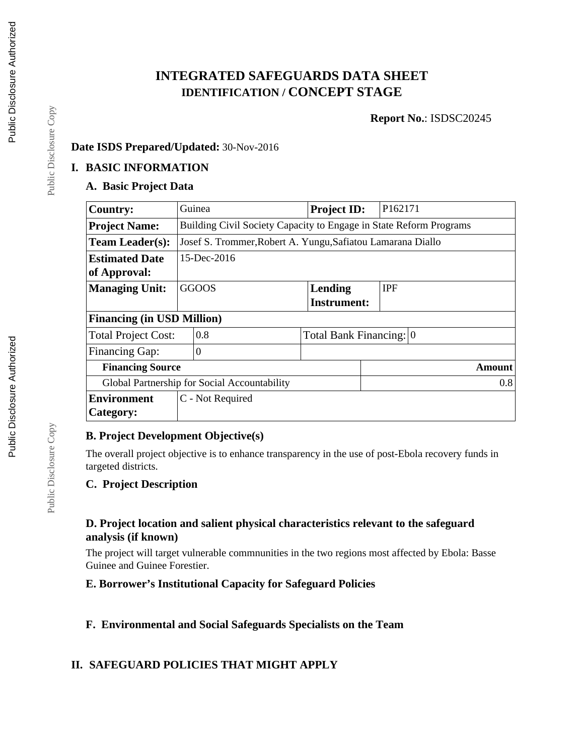# **INTEGRATED SAFEGUARDS DATA SHEET IDENTIFICATION / CONCEPT STAGE**

**Report No.**: ISDSC20245

#### **Date ISDS Prepared/Updated:** 30-Nov-2016

#### **I. BASIC INFORMATION**

#### **A. Basic Project Data**

| <b>Country:</b>                   | Guinea                                                             |                                              | <b>Project ID:</b>      | P <sub>162171</sub> |  |  |  |  |
|-----------------------------------|--------------------------------------------------------------------|----------------------------------------------|-------------------------|---------------------|--|--|--|--|
| <b>Project Name:</b>              | Building Civil Society Capacity to Engage in State Reform Programs |                                              |                         |                     |  |  |  |  |
| <b>Team Leader(s):</b>            | Josef S. Trommer, Robert A. Yungu, Safiatou Lamarana Diallo        |                                              |                         |                     |  |  |  |  |
| <b>Estimated Date</b>             | 15-Dec-2016                                                        |                                              |                         |                     |  |  |  |  |
| of Approval:                      |                                                                    |                                              |                         |                     |  |  |  |  |
| <b>Managing Unit:</b>             |                                                                    | <b>GGOOS</b>                                 | <b>Lending</b>          | <b>IPF</b>          |  |  |  |  |
|                                   |                                                                    |                                              | <b>Instrument:</b>      |                     |  |  |  |  |
| <b>Financing (in USD Million)</b> |                                                                    |                                              |                         |                     |  |  |  |  |
| <b>Total Project Cost:</b>        |                                                                    | 0.8                                          | Total Bank Financing: 0 |                     |  |  |  |  |
| <b>Financing Gap:</b>             |                                                                    | $\overline{0}$                               |                         |                     |  |  |  |  |
| <b>Financing Source</b>           |                                                                    |                                              | Amount                  |                     |  |  |  |  |
|                                   |                                                                    | Global Partnership for Social Accountability |                         | 0.8                 |  |  |  |  |
| <b>Environment</b>                |                                                                    | C - Not Required                             |                         |                     |  |  |  |  |
| Category:                         |                                                                    |                                              |                         |                     |  |  |  |  |

# **B. Project Development Objective(s)**

The overall project objective is to enhance transparency in the use of post-Ebola recovery funds in targeted districts.

#### **C. Project Description**

#### **D. Project location and salient physical characteristics relevant to the safeguard analysis (if known)**

The project will target vulnerable commnunities in the two regions most affected by Ebola: Basse Guinee and Guinee Forestier.

#### **E. Borrower's Institutional Capacity for Safeguard Policies**

**F. Environmental and Social Safeguards Specialists on the Team**

# **II. SAFEGUARD POLICIES THAT MIGHT APPLY**

Public Disclosure Copy

Public Disclosure Copy

Public Disclosure Copy

Public Disclosure Copy